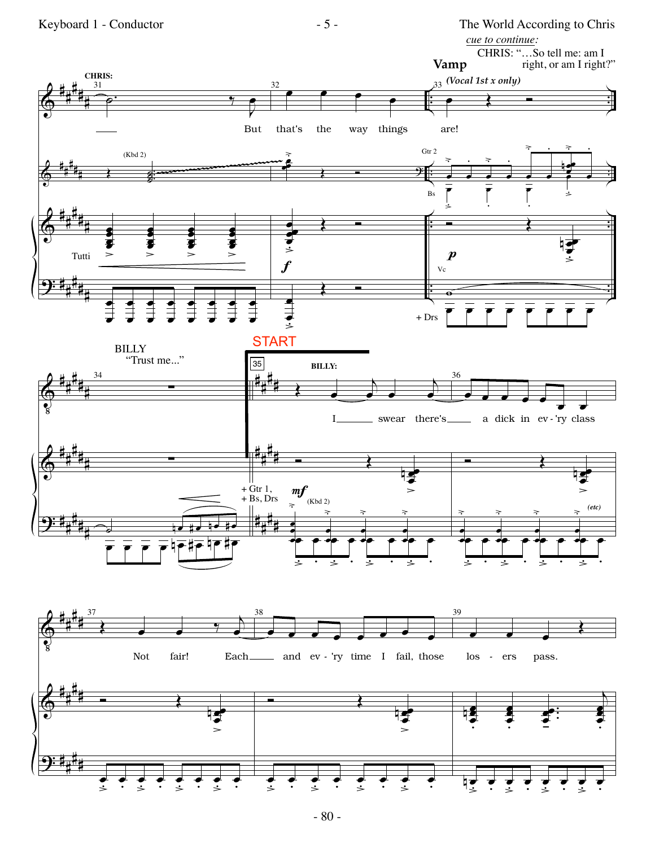

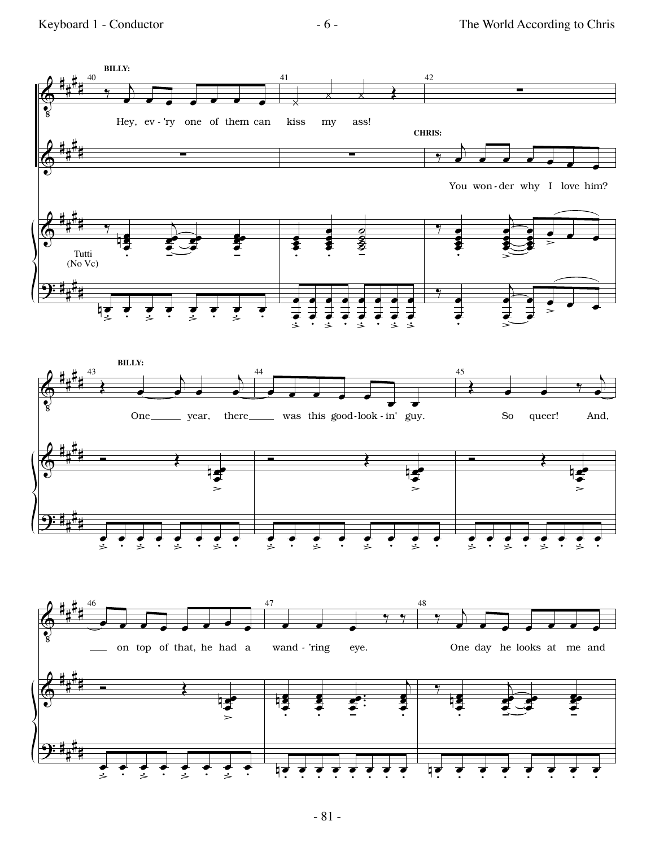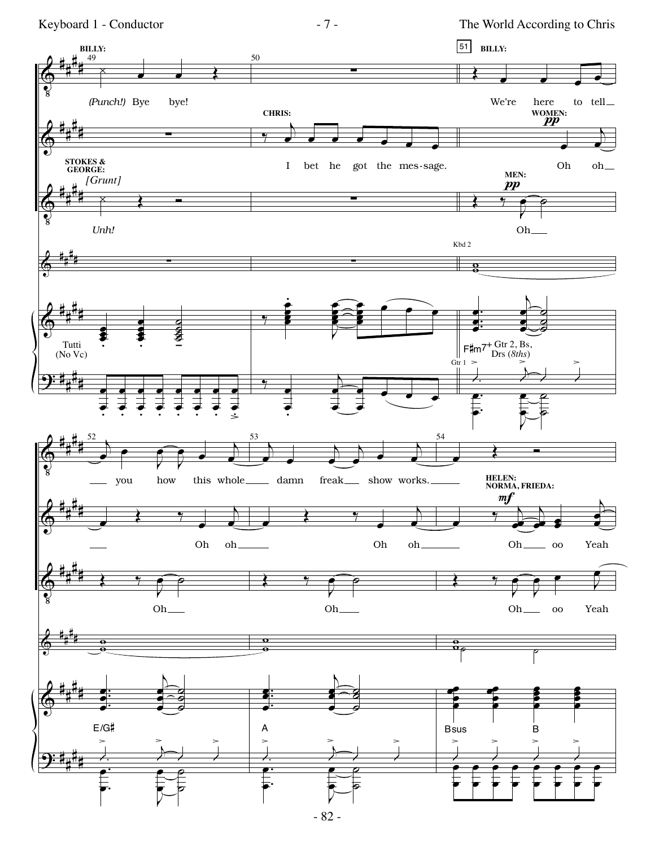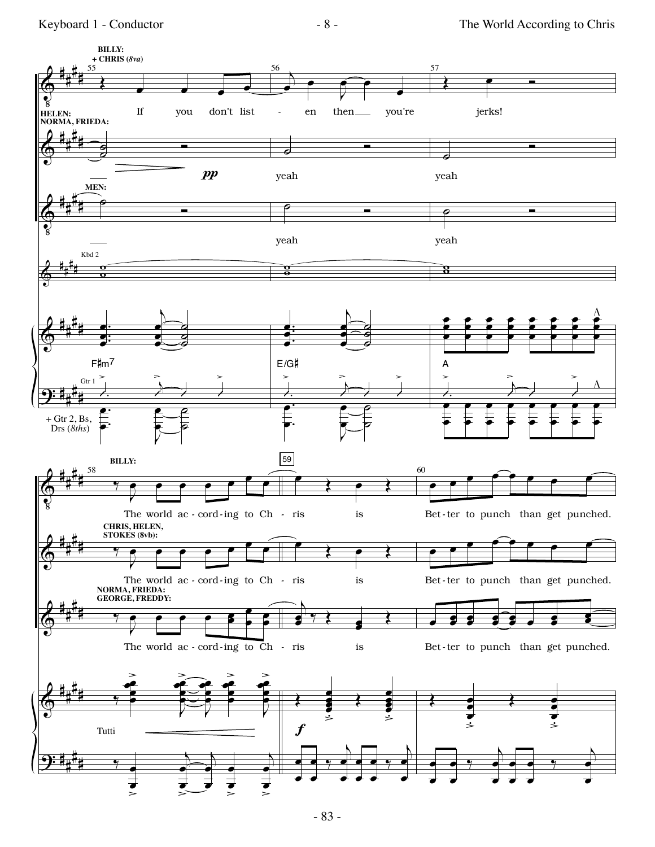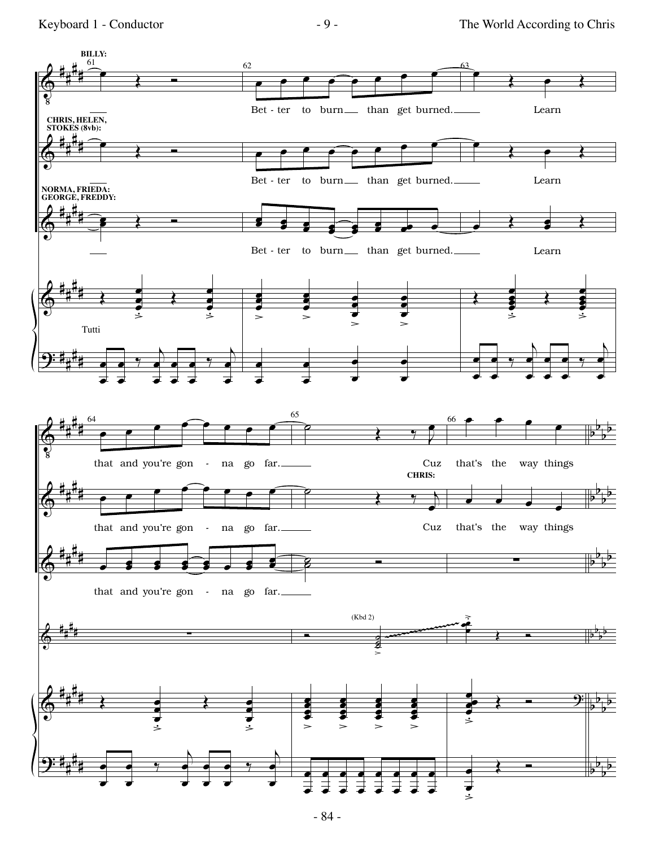